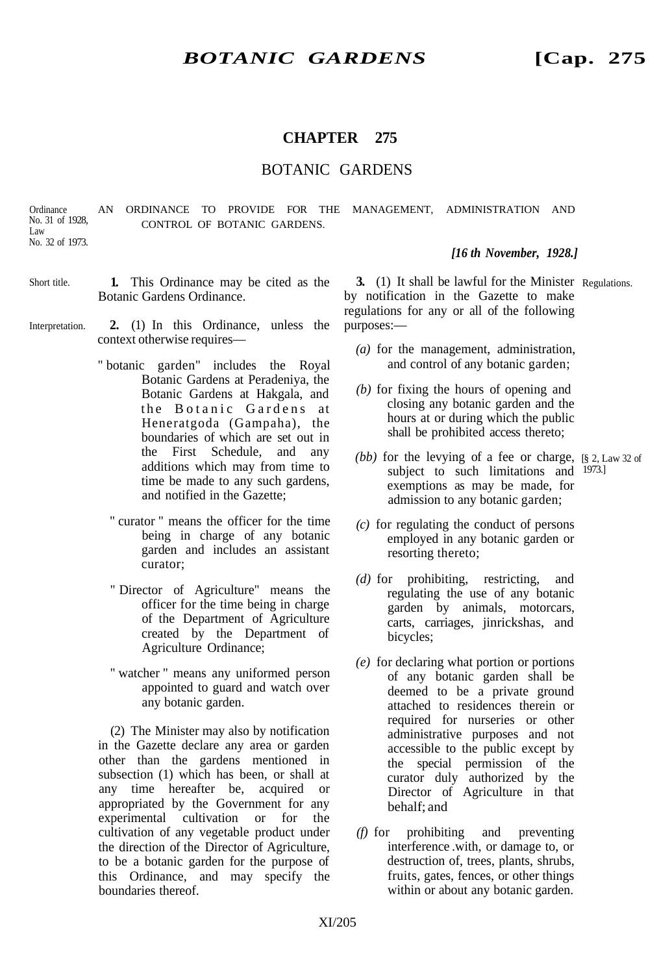## **CHAPTER 275**

### BOTANIC GARDENS

AN ORDINANCE TO PROVIDE FOR THE MANAGEMENT, ADMINISTRATION AND CONTROL OF BOTANIC GARDENS. **Ordinance** No. 31 of 1928, Law No. 32 of 1973.

- **1.** This Ordinance may be cited as the Botanic Gardens Ordinance. Short title.
- **2.** (1) In this Ordinance, unless the context otherwise requires— Interpretation.
	- " botanic garden" includes the Royal Botanic Gardens at Peradeniya, the Botanic Gardens at Hakgala, and the Botanic Gardens at Heneratgoda (Gampaha), the boundaries of which are set out in the First Schedule, and any additions which may from time to time be made to any such gardens, and notified in the Gazette;
		- " curator " means the officer for the time being in charge of any botanic garden and includes an assistant curator;
		- " Director of Agriculture" means the officer for the time being in charge of the Department of Agriculture created by the Department of Agriculture Ordinance;
		- " watcher " means any uniformed person appointed to guard and watch over any botanic garden.

(2) The Minister may also by notification in the Gazette declare any area or garden other than the gardens mentioned in subsection (1) which has been, or shall at any time hereafter be, acquired or appropriated by the Government for any experimental cultivation or for the cultivation of any vegetable product under the direction of the Director of Agriculture, to be a botanic garden for the purpose of this Ordinance, and may specify the boundaries thereof.

*[16 th November, 1928.]*

**3.** (1) It shall be lawful for the Minister Regulations. by notification in the Gazette to make regulations for any or all of the following purposes:—

- *(a)* for the management, administration, and control of any botanic garden;
- *(b)* for fixing the hours of opening and closing any botanic garden and the hours at or during which the public shall be prohibited access thereto;
- (bb) for the levying of a fee or charge, [§ 2, Law 32 of subject to such limitations and <sup>1973.]</sup> exemptions as may be made, for admission to any botanic garden;
- *(c)* for regulating the conduct of persons employed in any botanic garden or resorting thereto;
- *(d)* for prohibiting, restricting, and regulating the use of any botanic garden by animals, motorcars, carts, carriages, jinrickshas, and bicycles;
- *(e)* for declaring what portion or portions of any botanic garden shall be deemed to be a private ground attached to residences therein or required for nurseries or other administrative purposes and not accessible to the public except by the special permission of the curator duly authorized by the Director of Agriculture in that behalf; and
- *(f)* for prohibiting and preventing interference .with, or damage to, or destruction of, trees, plants, shrubs, fruits, gates, fences, or other things within or about any botanic garden.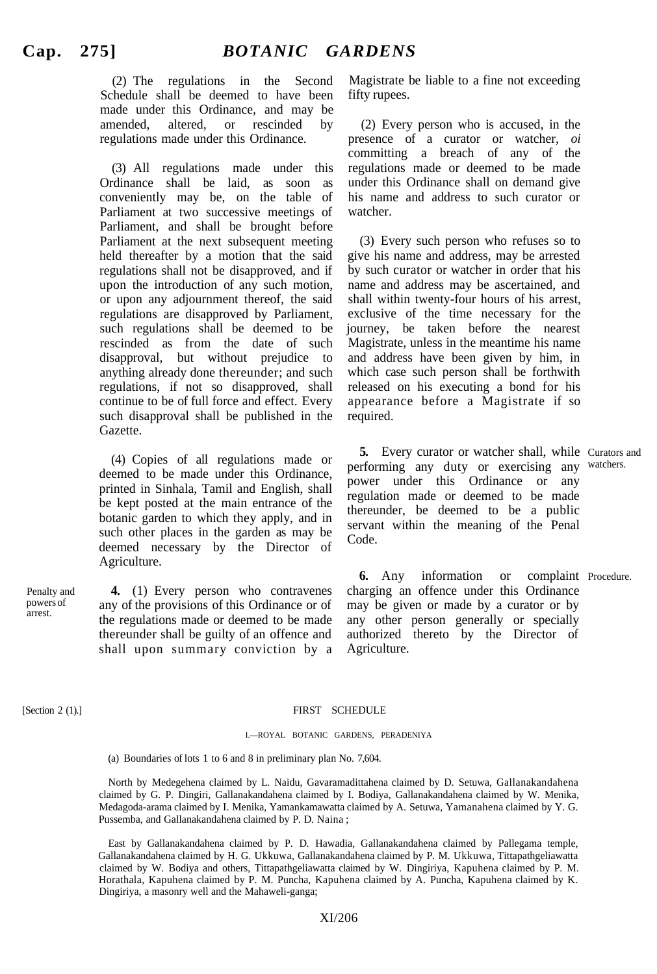(2) The regulations in the Second Schedule shall be deemed to have been made under this Ordinance, and may be amended, altered, or rescinded by regulations made under this Ordinance.

(3) All regulations made under this Ordinance shall be laid, as soon as conveniently may be, on the table of Parliament at two successive meetings of Parliament, and shall be brought before Parliament at the next subsequent meeting held thereafter by a motion that the said regulations shall not be disapproved, and if upon the introduction of any such motion, or upon any adjournment thereof, the said regulations are disapproved by Parliament, such regulations shall be deemed to be rescinded as from the date of such disapproval, but without prejudice to anything already done thereunder; and such regulations, if not so disapproved, shall continue to be of full force and effect. Every such disapproval shall be published in the Gazette.

(4) Copies of all regulations made or deemed to be made under this Ordinance, printed in Sinhala, Tamil and English, shall be kept posted at the main entrance of the botanic garden to which they apply, and in such other places in the garden as may be deemed necessary by the Director of Agriculture.

**4.** (1) Every person who contravenes any of the provisions of this Ordinance or of the regulations made or deemed to be made thereunder shall be guilty of an offence and shall upon summary conviction by a

Magistrate be liable to a fine not exceeding fifty rupees.

(2) Every person who is accused, in the presence of a curator or watcher, *oi* committing a breach of any of the regulations made or deemed to be made under this Ordinance shall on demand give his name and address to such curator or watcher.

(3) Every such person who refuses so to give his name and address, may be arrested by such curator or watcher in order that his name and address may be ascertained, and shall within twenty-four hours of his arrest, exclusive of the time necessary for the journey, be taken before the nearest Magistrate, unless in the meantime his name and address have been given by him, in which case such person shall be forthwith released on his executing a bond for his appearance before a Magistrate if so required.

5. Every curator or watcher shall, while Curators and performing any duty or exercising any watchers. power under this Ordinance or any regulation made or deemed to be made thereunder, be deemed to be a public servant within the meaning of the Penal Code.

**6.** Any information or charging an offence under this Ordinance may be given or made by a curator or by any other person generally or specially authorized thereto by the Director of Agriculture. complaint Procedure.

Penalty and powers of arrest.

### [Section 2 (1).] FIRST SCHEDULE

### I.—ROYAL BOTANIC GARDENS, PERADENIYA

(a) Boundaries of lots 1 to 6 and 8 in preliminary plan No. 7,604.

North by Medegehena claimed by L. Naidu, Gavaramadittahena claimed by D. Setuwa, Gallanakandahena claimed by G. P. Dingiri, Gallanakandahena claimed by I. Bodiya, Gallanakandahena claimed by W. Menika, Medagoda-arama claimed by I. Menika, Yamankamawatta claimed by A. Setuwa, Yamanahena claimed by Y. G. Pussemba, and Gallanakandahena claimed by P. D. Naina ;

East by Gallanakandahena claimed by P. D. Hawadia, Gallanakandahena claimed by Pallegama temple, Gallanakandahena claimed by H. G. Ukkuwa, Gallanakandahena claimed by P. M. Ukkuwa, Tittapathgeliawatta claimed by W. Bodiya and others, Tittapathgeliawatta claimed by W. Dingiriya, Kapuhena claimed by P. M. Horathala, Kapuhena claimed by P. M. Puncha, Kapuhena claimed by A. Puncha, Kapuhena claimed by K. Dingiriya, a masonry well and the Mahaweli-ganga;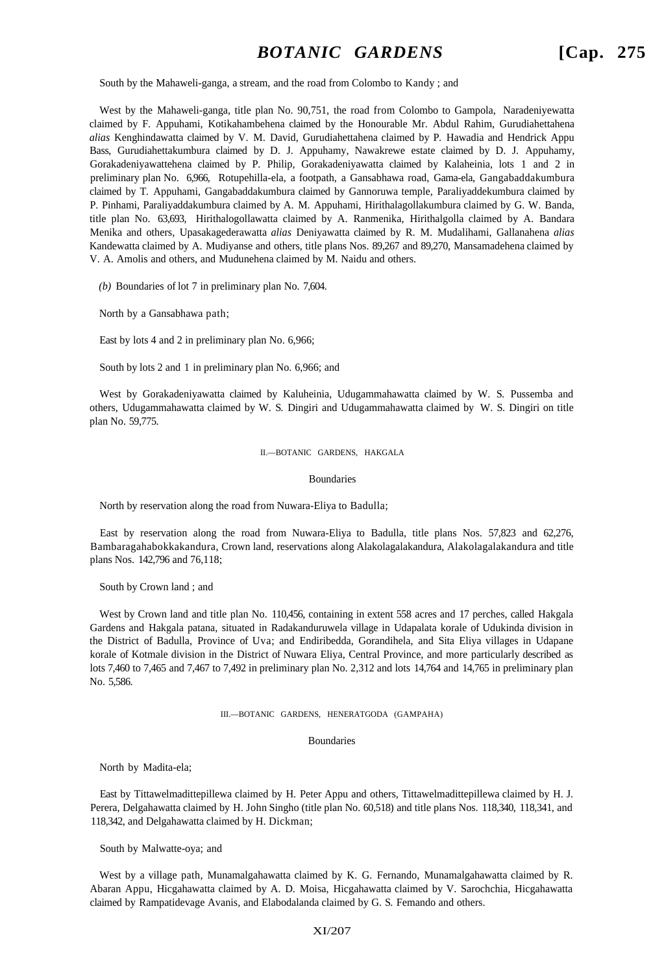South by the Mahaweli-ganga, a stream, and the road from Colombo to Kandy ; and

West by the Mahaweli-ganga, title plan No. 90,751, the road from Colombo to Gampola, Naradeniyewatta claimed by F. Appuhami, Kotikahambehena claimed by the Honourable Mr. Abdul Rahim, Gurudiahettahena *alias* Kenghindawatta claimed by V. M. David, Gurudiahettahena claimed by P. Hawadia and Hendrick Appu Bass, Gurudiahettakumbura claimed by D. J. Appuhamy, Nawakrewe estate claimed by D. J. Appuhamy, Gorakadeniyawattehena claimed by P. Philip, Gorakadeniyawatta claimed by Kalaheinia, lots 1 and 2 in preliminary plan No. 6,966, Rotupehilla-ela, a footpath, a Gansabhawa road, Gama-ela, Gangabaddakumbura claimed by T. Appuhami, Gangabaddakumbura claimed by Gannoruwa temple, Paraliyaddekumbura claimed by P. Pinhami, Paraliyaddakumbura claimed by A. M. Appuhami, Hirithalagollakumbura claimed by G. W. Banda, title plan No. 63,693, Hirithalogollawatta claimed by A. Ranmenika, Hirithalgolla claimed by A. Bandara Menika and others, Upasakagederawatta *alias* Deniyawatta claimed by R. M. Mudalihami, Gallanahena *alias* Kandewatta claimed by A. Mudiyanse and others, title plans Nos. 89,267 and 89,270, Mansamadehena claimed by V. A. Amolis and others, and Mudunehena claimed by M. Naidu and others.

*(b)* Boundaries of lot 7 in preliminary plan No. 7,604.

North by a Gansabhawa path;

East by lots 4 and 2 in preliminary plan No. 6,966;

South by lots 2 and 1 in preliminary plan No. 6,966; and

West by Gorakadeniyawatta claimed by Kaluheinia, Udugammahawatta claimed by W. S. Pussemba and others, Udugammahawatta claimed by W. S. Dingiri and Udugammahawatta claimed by W. S. Dingiri on title plan No. 59,775.

II.—BOTANIC GARDENS, HAKGALA

Boundaries

North by reservation along the road from Nuwara-Eliya to Badulla;

East by reservation along the road from Nuwara-Eliya to Badulla, title plans Nos. 57,823 and 62,276, Bambaragahabokkakandura, Crown land, reservations along Alakolagalakandura, Alakolagalakandura and title plans Nos. 142,796 and 76,118;

South by Crown land ; and

West by Crown land and title plan No. 110,456, containing in extent 558 acres and 17 perches, called Hakgala Gardens and Hakgala patana, situated in Radakanduruwela village in Udapalata korale of Udukinda division in the District of Badulla, Province of Uva; and Endiribedda, Gorandihela, and Sita Eliya villages in Udapane korale of Kotmale division in the District of Nuwara Eliya, Central Province, and more particularly described as lots 7,460 to 7,465 and 7,467 to 7,492 in preliminary plan No. 2,312 and lots 14,764 and 14,765 in preliminary plan No. 5,586.

III.—BOTANIC GARDENS, HENERATGODA (GAMPAHA)

#### Boundaries

North by Madita-ela;

East by Tittawelmadittepillewa claimed by H. Peter Appu and others, Tittawelmadittepillewa claimed by H. J. Perera, Delgahawatta claimed by H. John Singho (title plan No. 60,518) and title plans Nos. 118,340, 118,341, and 118,342, and Delgahawatta claimed by H. Dickman;

South by Malwatte-oya; and

West by a village path, Munamalgahawatta claimed by K. G. Fernando, Munamalgahawatta claimed by R. Abaran Appu, Hicgahawatta claimed by A. D. Moisa, Hicgahawatta claimed by V. Sarochchia, Hicgahawatta claimed by Rampatidevage Avanis, and Elabodalanda claimed by G. S. Femando and others.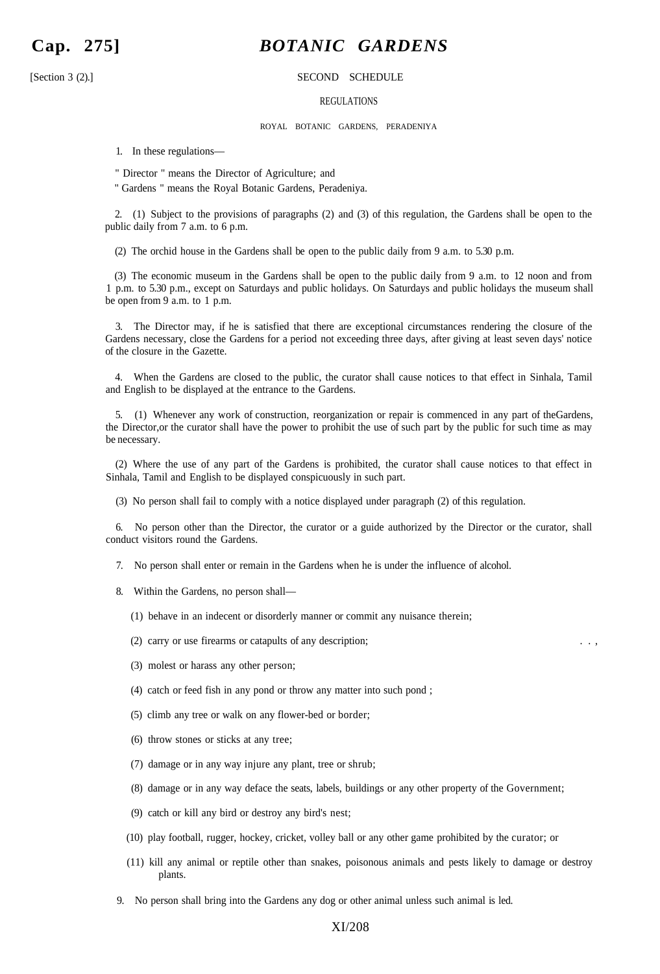# **Cap. 275]** *BOTANIC GARDENS*

### [Section 3 (2).] SECOND SCHEDULE

### REGULATIONS

ROYAL BOTANIC GARDENS, PERADENIYA

1. In these regulations—

" Director " means the Director of Agriculture; and

" Gardens " means the Royal Botanic Gardens, Peradeniya.

2. (1) Subject to the provisions of paragraphs (2) and (3) of this regulation, the Gardens shall be open to the public daily from 7 a.m. to 6 p.m.

(2) The orchid house in the Gardens shall be open to the public daily from 9 a.m. to 5.30 p.m.

(3) The economic museum in the Gardens shall be open to the public daily from 9 a.m. to 12 noon and from 1 p.m. to 5.30 p.m., except on Saturdays and public holidays. On Saturdays and public holidays the museum shall be open from 9 a.m. to 1 p.m.

3. The Director may, if he is satisfied that there are exceptional circumstances rendering the closure of the Gardens necessary, close the Gardens for a period not exceeding three days, after giving at least seven days' notice of the closure in the Gazette.

4. When the Gardens are closed to the public, the curator shall cause notices to that effect in Sinhala, Tamil and English to be displayed at the entrance to the Gardens.

5. (1) Whenever any work of construction, reorganization or repair is commenced in any part of theGardens, the Director,or the curator shall have the power to prohibit the use of such part by the public for such time as may be necessary.

(2) Where the use of any part of the Gardens is prohibited, the curator shall cause notices to that effect in Sinhala, Tamil and English to be displayed conspicuously in such part.

(3) No person shall fail to comply with a notice displayed under paragraph (2) of this regulation.

6. No person other than the Director, the curator or a guide authorized by the Director or the curator, shall conduct visitors round the Gardens.

- 7. No person shall enter or remain in the Gardens when he is under the influence of alcohol.
- 8. Within the Gardens, no person shall—
	- (1) behave in an indecent or disorderly manner or commit any nuisance therein;
	- $(2)$  carry or use firearms or catapults of any description;
	- (3) molest or harass any other person;
	- (4) catch or feed fish in any pond or throw any matter into such pond ;
	- (5) climb any tree or walk on any flower-bed or border;
	- (6) throw stones or sticks at any tree;
	- (7) damage or in any way injure any plant, tree or shrub;
	- (8) damage or in any way deface the seats, labels, buildings or any other property of the Government;
	- (9) catch or kill any bird or destroy any bird's nest;
	- (10) play football, rugger, hockey, cricket, volley ball or any other game prohibited by the curator; or
	- (11) kill any animal or reptile other than snakes, poisonous animals and pests likely to damage or destroy plants.
- 9. No person shall bring into the Gardens any dog or other animal unless such animal is led.

### XI/208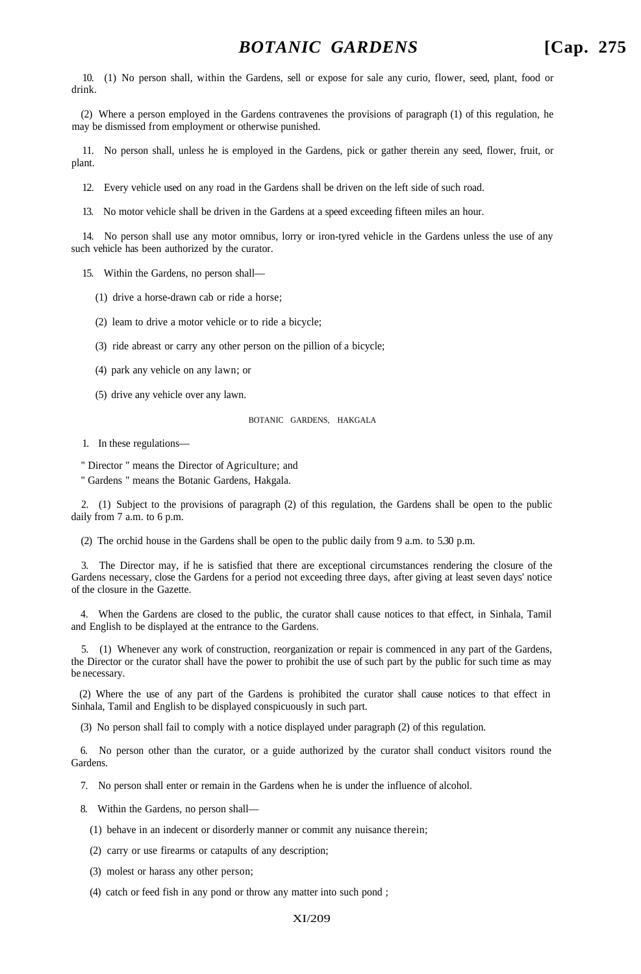10. (1) No person shall, within the Gardens, sell or expose for sale any curio, flower, seed, plant, food or drink.

(2) Where a person employed in the Gardens contravenes the provisions of paragraph (1) of this regulation, he may be dismissed from employment or otherwise punished.

11. No person shall, unless he is employed in the Gardens, pick or gather therein any seed, flower, fruit, or plant.

12. Every vehicle used on any road in the Gardens shall be driven on the left side of such road.

13. No motor vehicle shall be driven in the Gardens at a speed exceeding fifteen miles an hour.

14. No person shall use any motor omnibus, lorry or iron-tyred vehicle in the Gardens unless the use of any such vehicle has been authorized by the curator.

15. Within the Gardens, no person shall—

(1) drive a horse-drawn cab or ride a horse;

(2) leam to drive a motor vehicle or to ride a bicycle;

(3) ride abreast or carry any other person on the pillion of a bicycle;

(4) park any vehicle on any lawn; or

(5) drive any vehicle over any lawn.

BOTANIC GARDENS, HAKGALA

1. In these regulations—

" Director " means the Director of Agriculture; and

" Gardens " means the Botanic Gardens, Hakgala.

2. (1) Subject to the provisions of paragraph (2) of this regulation, the Gardens shall be open to the public daily from 7 a.m. to 6 p.m.

(2) The orchid house in the Gardens shall be open to the public daily from 9 a.m. to 5.30 p.m.

3. The Director may, if he is satisfied that there are exceptional circumstances rendering the closure of the Gardens necessary, close the Gardens for a period not exceeding three days, after giving at least seven days' notice of the closure in the Gazette.

4. When the Gardens are closed to the public, the curator shall cause notices to that effect, in Sinhala, Tamil and English to be displayed at the entrance to the Gardens.

5. (1) Whenever any work of construction, reorganization or repair is commenced in any part of the Gardens, the Director or the curator shall have the power to prohibit the use of such part by the public for such time as may be necessary.

(2) Where the use of any part of the Gardens is prohibited the curator shall cause notices to that effect in Sinhala, Tamil and English to be displayed conspicuously in such part.

(3) No person shall fail to comply with a notice displayed under paragraph (2) of this regulation.

6. No person other than the curator, or a guide authorized by the curator shall conduct visitors round the Gardens.

7. No person shall enter or remain in the Gardens when he is under the influence of alcohol.

8. Within the Gardens, no person shall—

(1) behave in an indecent or disorderly manner or commit any nuisance therein;

(2) carry or use firearms or catapults of any description;

(3) molest or harass any other person;

(4) catch or feed fish in any pond or throw any matter into such pond ;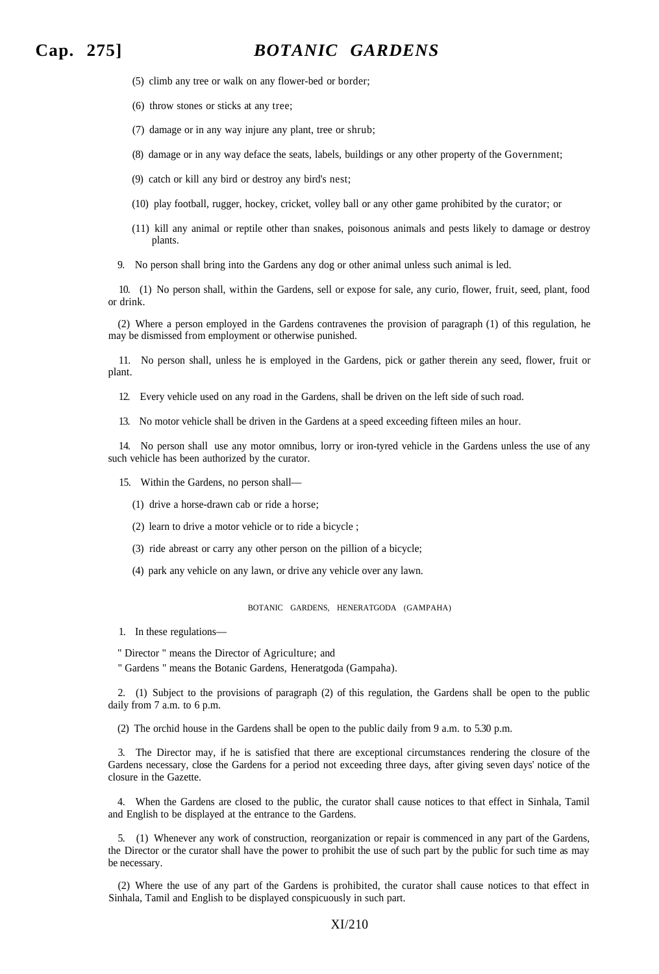# **Cap. 275]** *BOTANIC GARDENS*

- (5) climb any tree or walk on any flower-bed or border;
- (6) throw stones or sticks at any tree;
- (7) damage or in any way injure any plant, tree or shrub;
- (8) damage or in any way deface the seats, labels, buildings or any other property of the Government;
- (9) catch or kill any bird or destroy any bird's nest;
- (10) play football, rugger, hockey, cricket, volley ball or any other game prohibited by the curator; or
- (11) kill any animal or reptile other than snakes, poisonous animals and pests likely to damage or destroy plants.
- 9. No person shall bring into the Gardens any dog or other animal unless such animal is led.

10. (1) No person shall, within the Gardens, sell or expose for sale, any curio, flower, fruit, seed, plant, food or drink.

(2) Where a person employed in the Gardens contravenes the provision of paragraph (1) of this regulation, he may be dismissed from employment or otherwise punished.

11. No person shall, unless he is employed in the Gardens, pick or gather therein any seed, flower, fruit or plant.

- 12. Every vehicle used on any road in the Gardens, shall be driven on the left side of such road.
- 13. No motor vehicle shall be driven in the Gardens at a speed exceeding fifteen miles an hour.

14. No person shall use any motor omnibus, lorry or iron-tyred vehicle in the Gardens unless the use of any such vehicle has been authorized by the curator.

- 15. Within the Gardens, no person shall—
	- (1) drive a horse-drawn cab or ride a horse;
	- (2) learn to drive a motor vehicle or to ride a bicycle ;
	- (3) ride abreast or carry any other person on the pillion of a bicycle;
	- (4) park any vehicle on any lawn, or drive any vehicle over any lawn.

BOTANIC GARDENS, HENERATGODA (GAMPAHA)

- 1. In these regulations—
- " Director " means the Director of Agriculture; and
- " Gardens " means the Botanic Gardens, Heneratgoda (Gampaha).

2. (1) Subject to the provisions of paragraph (2) of this regulation, the Gardens shall be open to the public daily from 7 a.m. to 6 p.m.

(2) The orchid house in the Gardens shall be open to the public daily from 9 a.m. to 5.30 p.m.

3. The Director may, if he is satisfied that there are exceptional circumstances rendering the closure of the Gardens necessary, close the Gardens for a period not exceeding three days, after giving seven days' notice of the closure in the Gazette.

4. When the Gardens are closed to the public, the curator shall cause notices to that effect in Sinhala, Tamil and English to be displayed at the entrance to the Gardens.

5. (1) Whenever any work of construction, reorganization or repair is commenced in any part of the Gardens, the Director or the curator shall have the power to prohibit the use of such part by the public for such time as may be necessary.

(2) Where the use of any part of the Gardens is prohibited, the curator shall cause notices to that effect in Sinhala, Tamil and English to be displayed conspicuously in such part.